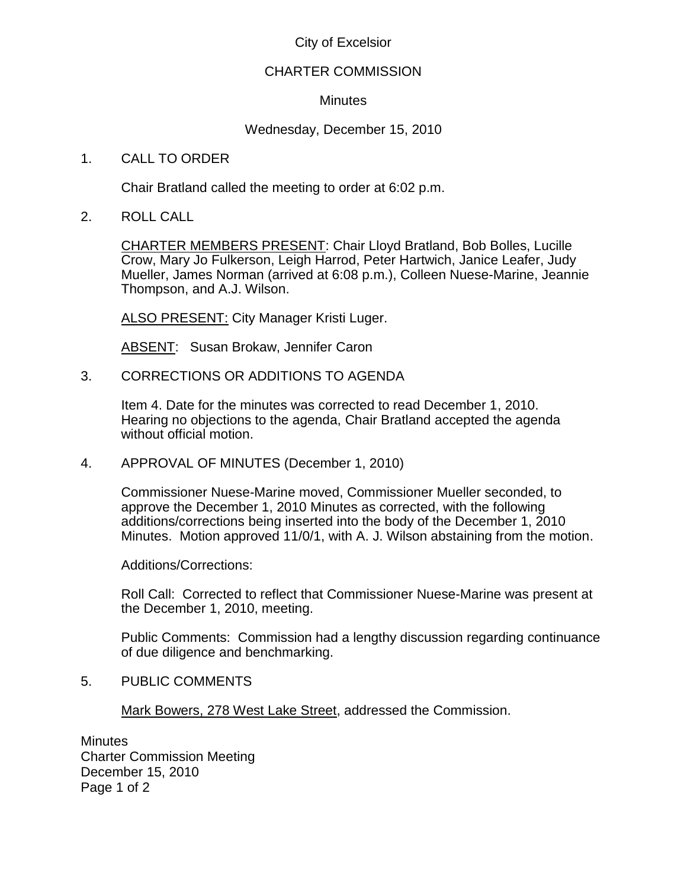# City of Excelsior

## CHARTER COMMISSION

## **Minutes**

# Wednesday, December 15, 2010

## 1. CALL TO ORDER

Chair Bratland called the meeting to order at 6:02 p.m.

2. ROLL CALL

CHARTER MEMBERS PRESENT: Chair Lloyd Bratland, Bob Bolles, Lucille Crow, Mary Jo Fulkerson, Leigh Harrod, Peter Hartwich, Janice Leafer, Judy Mueller, James Norman (arrived at 6:08 p.m.), Colleen Nuese-Marine, Jeannie Thompson, and A.J. Wilson.

ALSO PRESENT: City Manager Kristi Luger.

ABSENT: Susan Brokaw, Jennifer Caron

3. CORRECTIONS OR ADDITIONS TO AGENDA

Item 4. Date for the minutes was corrected to read December 1, 2010. Hearing no objections to the agenda, Chair Bratland accepted the agenda without official motion.

4. APPROVAL OF MINUTES (December 1, 2010)

Commissioner Nuese-Marine moved, Commissioner Mueller seconded, to approve the December 1, 2010 Minutes as corrected, with the following additions/corrections being inserted into the body of the December 1, 2010 Minutes. Motion approved 11/0/1, with A. J. Wilson abstaining from the motion.

Additions/Corrections:

Roll Call: Corrected to reflect that Commissioner Nuese-Marine was present at the December 1, 2010, meeting.

Public Comments: Commission had a lengthy discussion regarding continuance of due diligence and benchmarking.

#### 5. PUBLIC COMMENTS

Mark Bowers, 278 West Lake Street, addressed the Commission.

**Minutes** Charter Commission Meeting December 15, 2010 Page 1 of 2